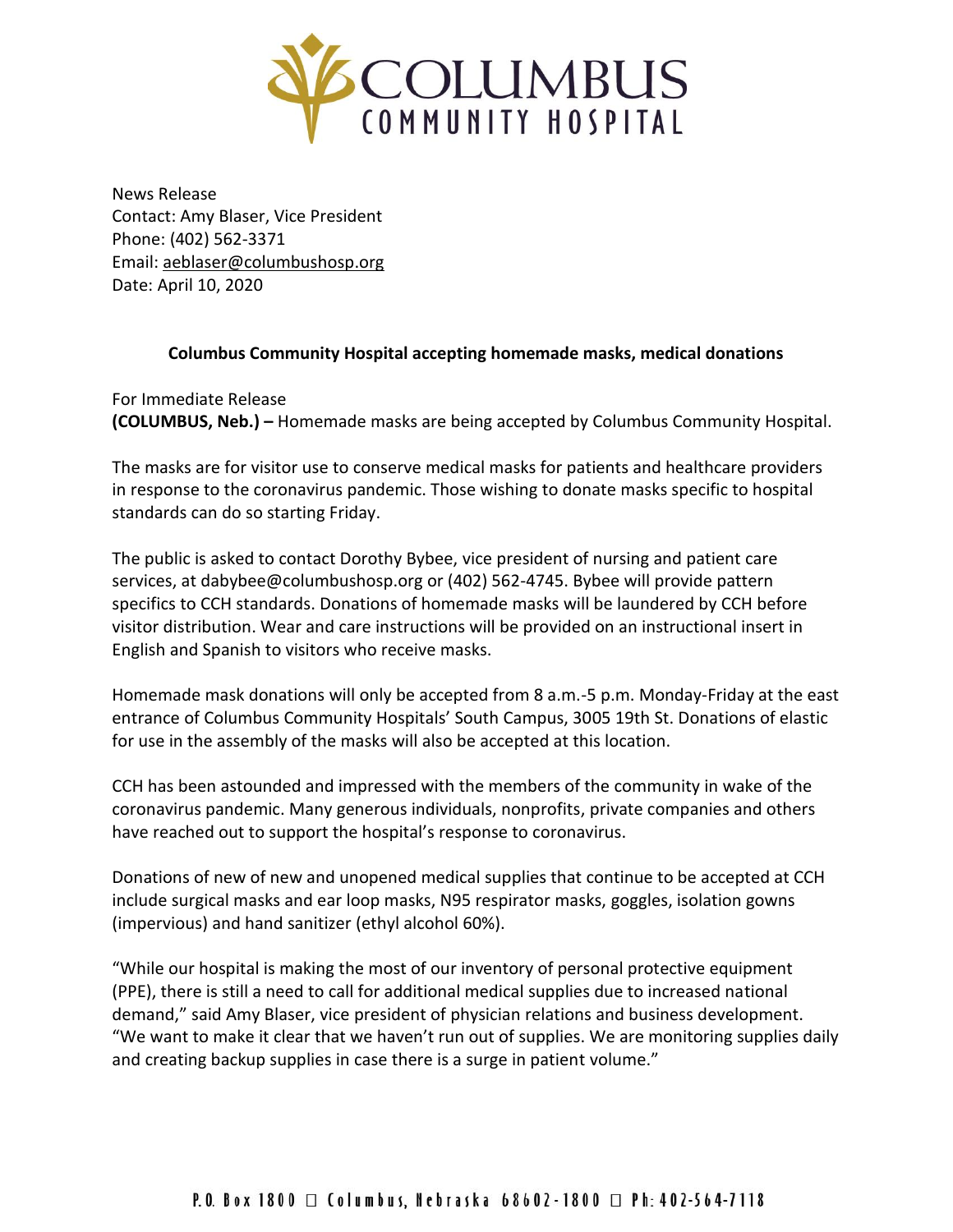

News Release Contact: Amy Blaser, Vice President Phone: (402) 562-3371 Email: [aeblaser@columbushosp.org](mailto:aeblaser@columbushosp.org) Date: April 10, 2020

## **Columbus Community Hospital accepting homemade masks, medical donations**

For Immediate Release **(COLUMBUS, Neb.) –** Homemade masks are being accepted by Columbus Community Hospital.

The masks are for visitor use to conserve medical masks for patients and healthcare providers in response to the coronavirus pandemic. Those wishing to donate masks specific to hospital standards can do so starting Friday.

The public is asked to contact Dorothy Bybee, vice president of nursing and patient care services, at dabybee@columbushosp.org or (402) 562-4745. Bybee will provide pattern specifics to CCH standards. Donations of homemade masks will be laundered by CCH before visitor distribution. Wear and care instructions will be provided on an instructional insert in English and Spanish to visitors who receive masks.

Homemade mask donations will only be accepted from 8 a.m.-5 p.m. Monday-Friday at the east entrance of Columbus Community Hospitals' South Campus, 3005 19th St. Donations of elastic for use in the assembly of the masks will also be accepted at this location.

CCH has been astounded and impressed with the members of the community in wake of the coronavirus pandemic. Many generous individuals, nonprofits, private companies and others have reached out to support the hospital's response to coronavirus.

Donations of new of new and unopened medical supplies that continue to be accepted at CCH include surgical masks and ear loop masks, N95 respirator masks, goggles, isolation gowns (impervious) and hand sanitizer (ethyl alcohol 60%).

"While our hospital is making the most of our inventory of personal protective equipment (PPE), there is still a need to call for additional medical supplies due to increased national demand," said Amy Blaser, vice president of physician relations and business development. "We want to make it clear that we haven't run out of supplies. We are monitoring supplies daily and creating backup supplies in case there is a surge in patient volume."